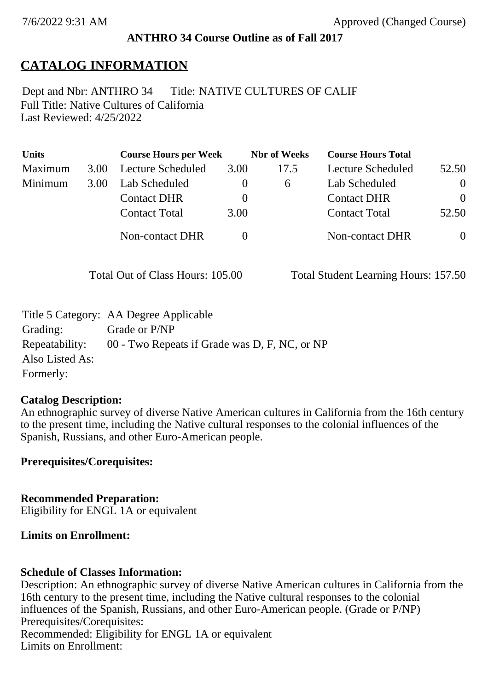### **ANTHRO 34 Course Outline as of Fall 2017**

# **CATALOG INFORMATION**

Full Title: Native Cultures of California Last Reviewed: 4/25/2022 Dept and Nbr: ANTHRO 34 Title: NATIVE CULTURES OF CALIF

| <b>Units</b> |      | <b>Course Hours per Week</b> |          | <b>Nbr</b> of Weeks | <b>Course Hours Total</b> |                |
|--------------|------|------------------------------|----------|---------------------|---------------------------|----------------|
| Maximum      | 3.00 | Lecture Scheduled            | 3.00     | 17.5                | <b>Lecture Scheduled</b>  | 52.50          |
| Minimum      | 3.00 | Lab Scheduled                | $\theta$ | $\sigma$            | Lab Scheduled             | $\overline{0}$ |
|              |      | <b>Contact DHR</b>           | $\theta$ |                     | <b>Contact DHR</b>        | $\Omega$       |
|              |      | <b>Contact Total</b>         | 3.00     |                     | <b>Contact Total</b>      | 52.50          |
|              |      | Non-contact DHR              |          |                     | <b>Non-contact DHR</b>    | $\overline{0}$ |

Total Out of Class Hours: 105.00 Total Student Learning Hours: 157.50

|                 | Title 5 Category: AA Degree Applicable        |
|-----------------|-----------------------------------------------|
| Grading:        | Grade or P/NP                                 |
| Repeatability:  | 00 - Two Repeats if Grade was D, F, NC, or NP |
| Also Listed As: |                                               |
| Formerly:       |                                               |

#### **Catalog Description:**

An ethnographic survey of diverse Native American cultures in California from the 16th century to the present time, including the Native cultural responses to the colonial influences of the Spanish, Russians, and other Euro-American people.

**Prerequisites/Corequisites:**

**Recommended Preparation:** Eligibility for ENGL 1A or equivalent

#### **Limits on Enrollment:**

#### **Schedule of Classes Information:**

Description: An ethnographic survey of diverse Native American cultures in California from the 16th century to the present time, including the Native cultural responses to the colonial influences of the Spanish, Russians, and other Euro-American people. (Grade or P/NP) Prerequisites/Corequisites: Recommended: Eligibility for ENGL 1A or equivalent Limits on Enrollment: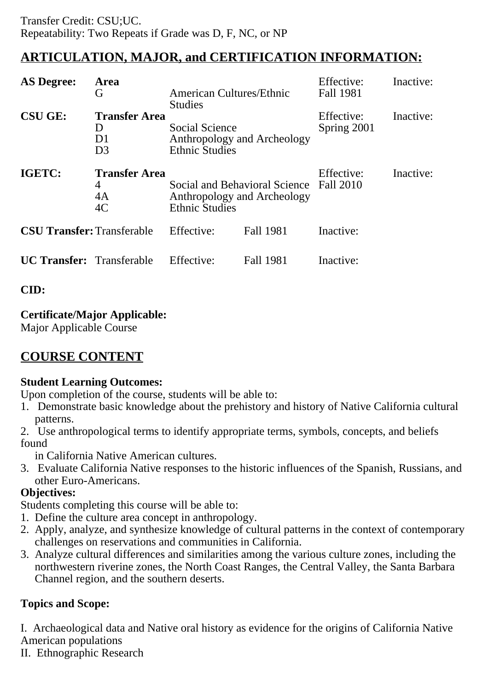# **ARTICULATION, MAJOR, and CERTIFICATION INFORMATION:**

| <b>AS Degree:</b>                 | Area<br>G                                          | American Cultures/Ethnic<br><b>Studies</b>                                            |                  | Effective:<br><b>Fall 1981</b> | Inactive: |
|-----------------------------------|----------------------------------------------------|---------------------------------------------------------------------------------------|------------------|--------------------------------|-----------|
| <b>CSU GE:</b>                    | <b>Transfer Area</b><br>I)<br>D1<br>D <sub>3</sub> | Social Science<br>Anthropology and Archeology<br><b>Ethnic Studies</b>                |                  | Effective:<br>Spring 2001      | Inactive: |
| IGETC:                            | <b>Transfer Area</b><br>4<br>4A<br>4C              | Social and Behavioral Science<br>Anthropology and Archeology<br><b>Ethnic Studies</b> |                  | Effective:<br>Fall 2010        | Inactive: |
| <b>CSU Transfer: Transferable</b> |                                                    | Effective:                                                                            | <b>Fall 1981</b> | Inactive:                      |           |
| <b>UC Transfer:</b> Transferable  |                                                    | Effective:                                                                            | Fall 1981        | Inactive:                      |           |

## **CID:**

## **Certificate/Major Applicable:**

[Major Applicable Course](SR_ClassCheck.aspx?CourseKey=ANTHRO34)

# **COURSE CONTENT**

## **Student Learning Outcomes:**

Upon completion of the course, students will be able to:

- 1. Demonstrate basic knowledge about the prehistory and history of Native California cultural patterns.
- 2. Use anthropological terms to identify appropriate terms, symbols, concepts, and beliefs found

in California Native American cultures.

3. Evaluate California Native responses to the historic influences of the Spanish, Russians, and other Euro-Americans.

## **Objectives:**

Students completing this course will be able to:

- 1. Define the culture area concept in anthropology.
- 2. Apply, analyze, and synthesize knowledge of cultural patterns in the context of contemporary challenges on reservations and communities in California.
- 3. Analyze cultural differences and similarities among the various culture zones, including the northwestern riverine zones, the North Coast Ranges, the Central Valley, the Santa Barbara Channel region, and the southern deserts.

## **Topics and Scope:**

I. Archaeological data and Native oral history as evidence for the origins of California Native American populations

II. Ethnographic Research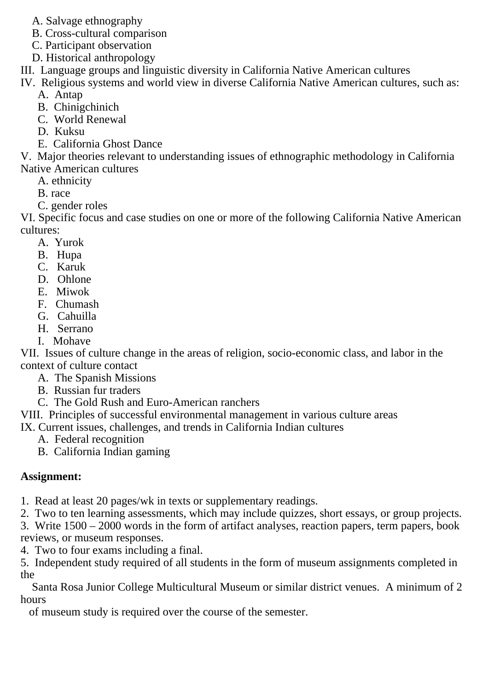- A. Salvage ethnography
- B. Cross-cultural comparison
- C. Participant observation
- D. Historical anthropology
- III. Language groups and linguistic diversity in California Native American cultures
- IV. Religious systems and world view in diverse California Native American cultures, such as: A. Antap
	- B. Chinigchinich
	- C. World Renewal
	- D. Kuksu
	- E. California Ghost Dance

V. Major theories relevant to understanding issues of ethnographic methodology in California Native American cultures

- A. ethnicity
- B. race
- C. gender roles

VI. Specific focus and case studies on one or more of the following California Native American cultures:

- A. Yurok
- B. Hupa
- C. Karuk
- D. Ohlone
- E. Miwok
- F. Chumash
- G. Cahuilla
- H. Serrano
- I. Mohave

VII. Issues of culture change in the areas of religion, socio-economic class, and labor in the context of culture contact

- A. The Spanish Missions
- B. Russian fur traders
- C. The Gold Rush and Euro-American ranchers

VIII. Principles of successful environmental management in various culture areas

IX. Current issues, challenges, and trends in California Indian cultures

- A. Federal recognition
- B. California Indian gaming

## **Assignment:**

1. Read at least 20 pages/wk in texts or supplementary readings.

2. Two to ten learning assessments, which may include quizzes, short essays, or group projects.

3. Write  $1500 - 2000$  words in the form of artifact analyses, reaction papers, term papers, book reviews, or museum responses.

4. Two to four exams including a final.

5. Independent study required of all students in the form of museum assignments completed in the

 Santa Rosa Junior College Multicultural Museum or similar district venues. A minimum of 2 hours

of museum study is required over the course of the semester.